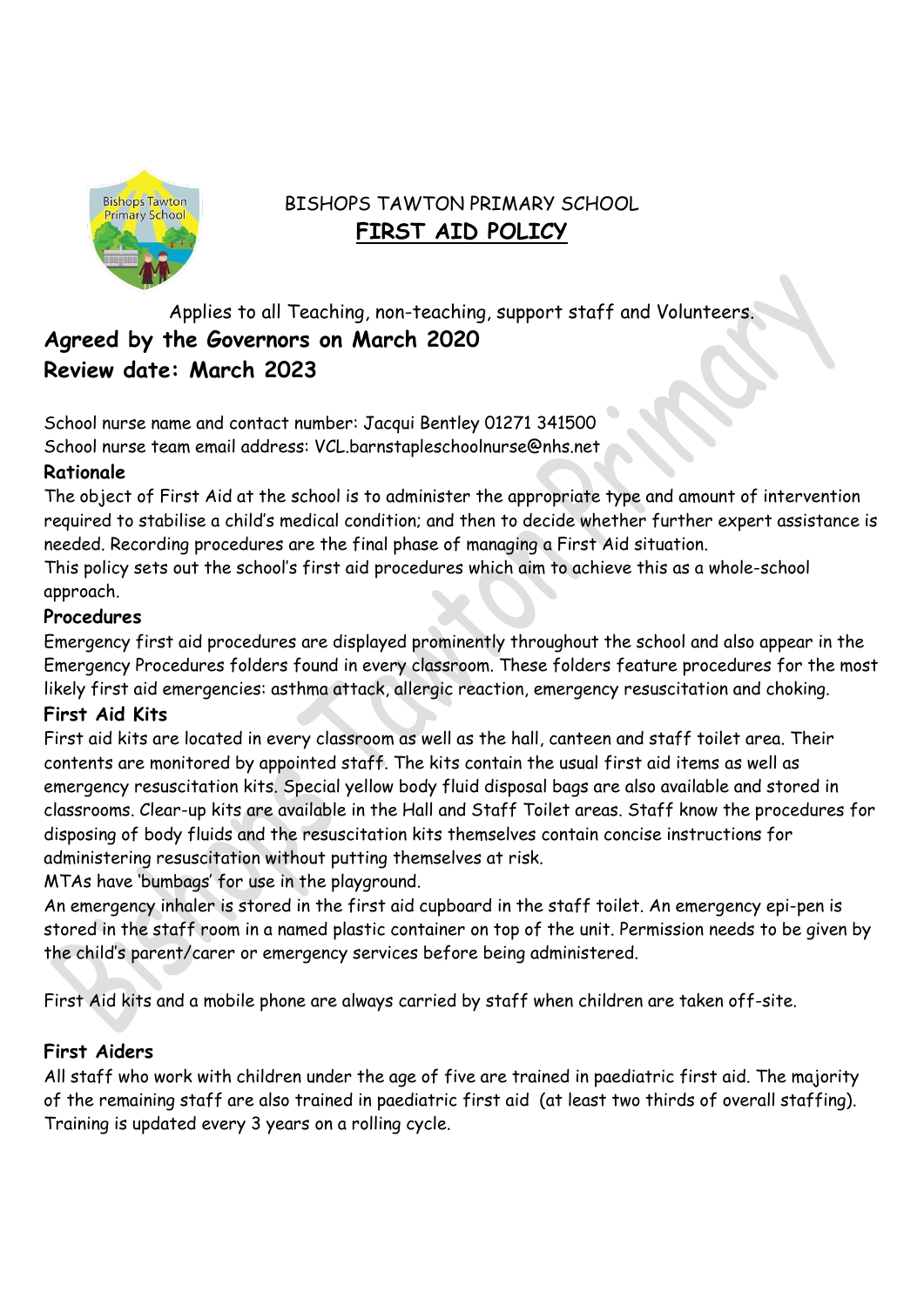

# BISHOPS TAWTON PRIMARY SCHOOL **FIRST AID POLICY**

Applies to all Teaching, non-teaching, support staff and Volunteers. **Agreed by the Governors on March 2020 Review date: March 2023**

School nurse name and contact number: Jacqui Bentley 01271 341500 School nurse team email address: VCL.barnstapleschoolnurse@nhs.net

## **Rationale**

The object of First Aid at the school is to administer the appropriate type and amount of intervention required to stabilise a child's medical condition; and then to decide whether further expert assistance is needed. Recording procedures are the final phase of managing a First Aid situation.

This policy sets out the school's first aid procedures which aim to achieve this as a whole-school approach.

## **Procedures**

Emergency first aid procedures are displayed prominently throughout the school and also appear in the Emergency Procedures folders found in every classroom. These folders feature procedures for the most likely first aid emergencies: asthma attack, allergic reaction, emergency resuscitation and choking.

### **First Aid Kits**

First aid kits are located in every classroom as well as the hall, canteen and staff toilet area. Their contents are monitored by appointed staff. The kits contain the usual first aid items as well as emergency resuscitation kits. Special yellow body fluid disposal bags are also available and stored in classrooms. Clear-up kits are available in the Hall and Staff Toilet areas. Staff know the procedures for disposing of body fluids and the resuscitation kits themselves contain concise instructions for administering resuscitation without putting themselves at risk.

MTAs have 'bumbags' for use in the playground.

An emergency inhaler is stored in the first aid cupboard in the staff toilet. An emergency epi-pen is stored in the staff room in a named plastic container on top of the unit. Permission needs to be given by the child's parent/carer or emergency services before being administered.

First Aid kits and a mobile phone are always carried by staff when children are taken off-site.

# **First Aiders**

All staff who work with children under the age of five are trained in paediatric first aid. The majority of the remaining staff are also trained in paediatric first aid (at least two thirds of overall staffing). Training is updated every 3 years on a rolling cycle.